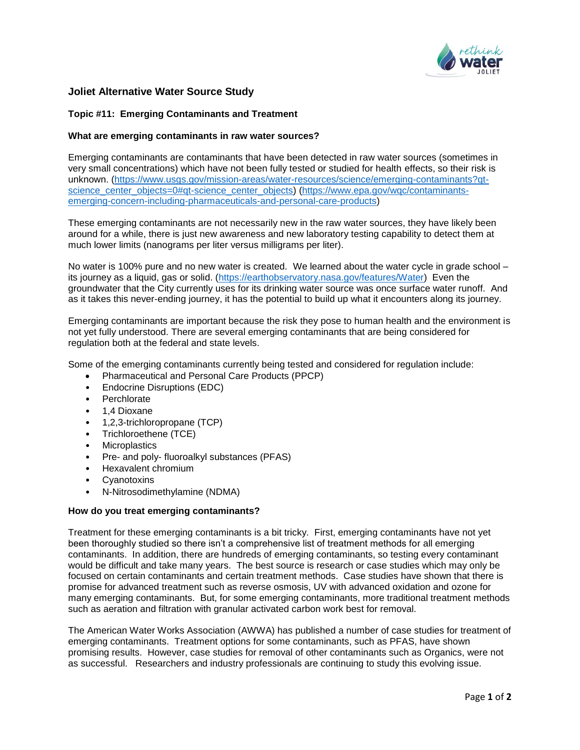

# **Joliet Alternative Water Source Study**

## **Topic #11: Emerging Contaminants and Treatment**

#### **What are emerging contaminants in raw water sources?**

Emerging contaminants are contaminants that have been detected in raw water sources (sometimes in very small concentrations) which have not been fully tested or studied for health effects, so their risk is unknown. [\(https://www.usgs.gov/mission-areas/water-resources/science/emerging-contaminants?qt](https://url3.mailanyone.net/v1/?m=1hwwuJ-0004Hp-5J&i=57e1b682&c=6g0fCMc1Ib1daOhR2vEtAM1864XOWuZfL_qIJNISbMPlHO5S1PAHVJ4exbW4wVKwrKQjuw4XeP2zPJ8m8XNldfZ_WDEJicvMdK5v8xaLoFacJEdCJhzu2PVRqDboyOaRfp8mjorzvTJ4-G9bqeQd_G9AU9m5BP5rkN2eOFX86wt2teaZaemKiSbFBpo7APTzwmz9n8IGXVw93Zu6_WUo48akLQ6RlrvkTJ9LbSdJWY06iKnNe1W6KrTuhaVcJwZpr8TNOSAWx1_7OTL601XL72w5RSms4AFgsFfu1bjnbE6fvf72gkyVg1WQPtvwfjuZTVDheyyHhqSRGRwuyiBrMqs2rjtGYHGFnPQ3VMwbAlHRGVYrXxquEBlsPnWTV9IS)[science\\_center\\_objects=0#qt-science\\_center\\_objects\)](https://url3.mailanyone.net/v1/?m=1hwwuJ-0004Hp-5J&i=57e1b682&c=6g0fCMc1Ib1daOhR2vEtAM1864XOWuZfL_qIJNISbMPlHO5S1PAHVJ4exbW4wVKwrKQjuw4XeP2zPJ8m8XNldfZ_WDEJicvMdK5v8xaLoFacJEdCJhzu2PVRqDboyOaRfp8mjorzvTJ4-G9bqeQd_G9AU9m5BP5rkN2eOFX86wt2teaZaemKiSbFBpo7APTzwmz9n8IGXVw93Zu6_WUo48akLQ6RlrvkTJ9LbSdJWY06iKnNe1W6KrTuhaVcJwZpr8TNOSAWx1_7OTL601XL72w5RSms4AFgsFfu1bjnbE6fvf72gkyVg1WQPtvwfjuZTVDheyyHhqSRGRwuyiBrMqs2rjtGYHGFnPQ3VMwbAlHRGVYrXxquEBlsPnWTV9IS) [\(https://www.epa.gov/wqc/contaminants](https://url3.mailanyone.net/v1/?m=1hwwuJ-0004Hp-5J&i=57e1b682&c=pVPZJor4prufIJ_gHZUCe2OMU9ZhGNAzh5-mj4Ca1_QNXbaftGTpkw3wbRU3TeLQPPaaDr9m-FL28YFvfyge8MjDilS6WXIoKjo9AtTvFPaNj-orpOLcWZDvNBAb4yAYzBFeZrCCB8zpJAzbfU2yGUvyi0MJl4f6YxD8BKKDPXXnwe9HCyMuZu0L24UVQquyFu0HKJ8H1yySZXGKOs50hpEsDKc5L_Tuehp4GZOrw2LQ3zGMqbEcPhphDUhdOK8u2ZpewtgYqJB-jX2paZ0-yFagLkD0clPO3pC-1tLlFgi8jSH2shV5PY4I2Z5ZQ1y_uHLp-LexNGzl6PoQbVb_rw)[emerging-concern-including-pharmaceuticals-and-personal-care-products\)](https://url3.mailanyone.net/v1/?m=1hwwuJ-0004Hp-5J&i=57e1b682&c=pVPZJor4prufIJ_gHZUCe2OMU9ZhGNAzh5-mj4Ca1_QNXbaftGTpkw3wbRU3TeLQPPaaDr9m-FL28YFvfyge8MjDilS6WXIoKjo9AtTvFPaNj-orpOLcWZDvNBAb4yAYzBFeZrCCB8zpJAzbfU2yGUvyi0MJl4f6YxD8BKKDPXXnwe9HCyMuZu0L24UVQquyFu0HKJ8H1yySZXGKOs50hpEsDKc5L_Tuehp4GZOrw2LQ3zGMqbEcPhphDUhdOK8u2ZpewtgYqJB-jX2paZ0-yFagLkD0clPO3pC-1tLlFgi8jSH2shV5PY4I2Z5ZQ1y_uHLp-LexNGzl6PoQbVb_rw)

These emerging contaminants are not necessarily new in the raw water sources, they have likely been around for a while, there is just new awareness and new laboratory testing capability to detect them at much lower limits (nanograms per liter versus milligrams per liter).

No water is 100% pure and no new water is created. We learned about the water cycle in grade school – its journey as a liquid, gas or solid. [\(https://earthobservatory.nasa.gov/features/Water\)](https://url3.mailanyone.net/v1/?m=1hwwuJ-0004Hp-5J&i=57e1b682&c=eKUXa7q3gNs6AphZvsp-WhXUnBZbwA-22tUvAGnVEBX2Vquobvm9j2rDQnmSB5olvoH1vrudPPhdDW3tegbPsmuXpoOaGNBV4mjll-6x9gVnWwBpq01-10dRXb2znEV9B5hWor27_Lkkbu6LGjTgd_1MzNz5aV9rzh99WndEBuo656Ct3AxBFWZi4BRXuLuLKRSjCfarz27nFjvd_ZdCTtOqr6kJFko5Pda-yewb8ffSr6KHMk_Mo-1y9F6pi5m4) Even the groundwater that the City currently uses for its drinking water source was once surface water runoff. And as it takes this never-ending journey, it has the potential to build up what it encounters along its journey.

Emerging contaminants are important because the risk they pose to human health and the environment is not yet fully understood. There are several emerging contaminants that are being considered for regulation both at the federal and state levels.

Some of the emerging contaminants currently being tested and considered for regulation include:

- Pharmaceutical and Personal Care Products (PPCP)
- Endocrine Disruptions (EDC)
- Perchlorate
- 1,4 Dioxane
- 1,2,3-trichloropropane (TCP)
- Trichloroethene (TCE)
- Microplastics
- Pre- and poly- fluoroalkyl substances (PFAS)
- Hexavalent chromium
- **Cyanotoxins**
- N-Nitrosodimethylamine (NDMA)

## **How do you treat emerging contaminants?**

Treatment for these emerging contaminants is a bit tricky. First, emerging contaminants have not yet been thoroughly studied so there isn't a comprehensive list of treatment methods for all emerging contaminants. In addition, there are hundreds of emerging contaminants, so testing every contaminant would be difficult and take many years. The best source is research or case studies which may only be focused on certain contaminants and certain treatment methods. Case studies have shown that there is promise for advanced treatment such as reverse osmosis, UV with advanced oxidation and ozone for many emerging contaminants. But, for some emerging contaminants, more traditional treatment methods such as aeration and filtration with granular activated carbon work best for removal.

The American Water Works Association (AWWA) has published a number of case studies for treatment of emerging contaminants. Treatment options for some contaminants, such as PFAS, have shown promising results. However, case studies for removal of other contaminants such as Organics, were not as successful. Researchers and industry professionals are continuing to study this evolving issue.